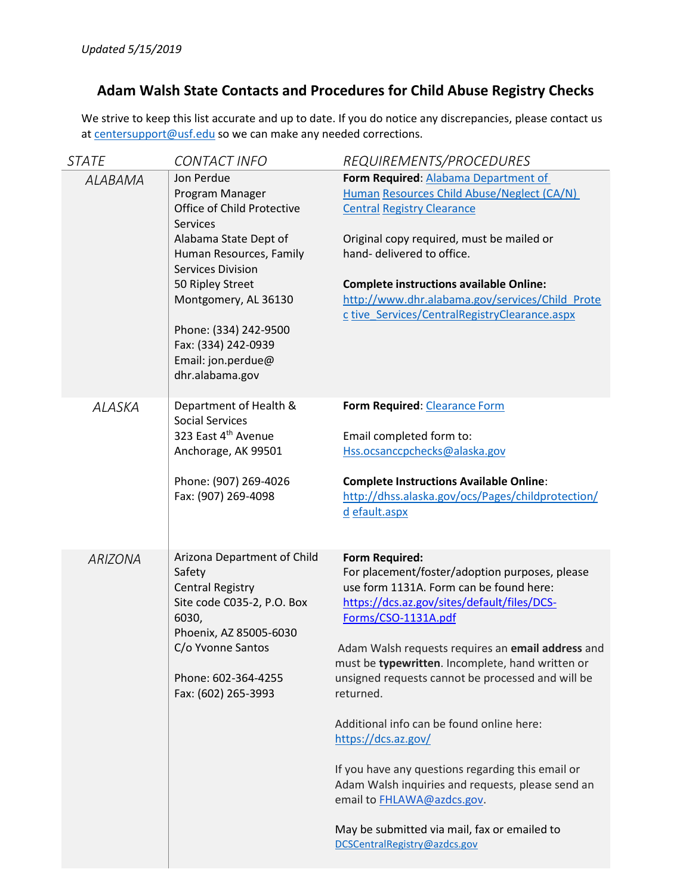# **Adam Walsh State Contacts and Procedures for Child Abuse Registry Checks**

We strive to keep this list accurate and up to date. If you do notice any discrepancies, please contact us a[t centersupport@usf.edu](mailto:centersupport@usf.edu) so we can make any needed corrections.

| <b>STATE</b>   | <b>CONTACT INFO</b>                                                                                                                                                                                                                                                                                 | REQUIREMENTS/PROCEDURES                                                                                                                                                                                                                                                                                                                                                                                                                                                                                                                                                                                                                                         |
|----------------|-----------------------------------------------------------------------------------------------------------------------------------------------------------------------------------------------------------------------------------------------------------------------------------------------------|-----------------------------------------------------------------------------------------------------------------------------------------------------------------------------------------------------------------------------------------------------------------------------------------------------------------------------------------------------------------------------------------------------------------------------------------------------------------------------------------------------------------------------------------------------------------------------------------------------------------------------------------------------------------|
| <b>ALABAMA</b> | Jon Perdue<br>Program Manager<br>Office of Child Protective<br><b>Services</b><br>Alabama State Dept of<br>Human Resources, Family<br><b>Services Division</b><br>50 Ripley Street<br>Montgomery, AL 36130<br>Phone: (334) 242-9500<br>Fax: (334) 242-0939<br>Email: jon.perdue@<br>dhr.alabama.gov | Form Required: Alabama Department of<br>Human Resources Child Abuse/Neglect (CA/N)<br><b>Central Registry Clearance</b><br>Original copy required, must be mailed or<br>hand- delivered to office.<br><b>Complete instructions available Online:</b><br>http://www.dhr.alabama.gov/services/Child Prote<br>c tive_Services/CentralRegistryClearance.aspx                                                                                                                                                                                                                                                                                                        |
| <b>ALASKA</b>  | Department of Health &<br><b>Social Services</b><br>323 East 4th Avenue<br>Anchorage, AK 99501<br>Phone: (907) 269-4026<br>Fax: (907) 269-4098                                                                                                                                                      | Form Required: Clearance Form<br>Email completed form to:<br>Hss.ocsanccpchecks@alaska.gov<br><b>Complete Instructions Available Online:</b><br>http://dhss.alaska.gov/ocs/Pages/childprotection/<br>d efault.aspx                                                                                                                                                                                                                                                                                                                                                                                                                                              |
| <b>ARIZONA</b> | Arizona Department of Child<br>Safety<br><b>Central Registry</b><br>Site code C035-2, P.O. Box<br>6030,<br>Phoenix, AZ 85005-6030<br>C/o Yvonne Santos<br>Phone: 602-364-4255<br>Fax: (602) 265-3993                                                                                                | <b>Form Required:</b><br>For placement/foster/adoption purposes, please<br>use form 1131A. Form can be found here:<br>https://dcs.az.gov/sites/default/files/DCS-<br>Forms/CSO-1131A.pdf<br>Adam Walsh requests requires an email address and<br>must be typewritten. Incomplete, hand written or<br>unsigned requests cannot be processed and will be<br>returned.<br>Additional info can be found online here:<br>https://dcs.az.gov/<br>If you have any questions regarding this email or<br>Adam Walsh inquiries and requests, please send an<br>email to FHLAWA@azdcs.gov.<br>May be submitted via mail, fax or emailed to<br>DCSCentralRegistry@azdcs.gov |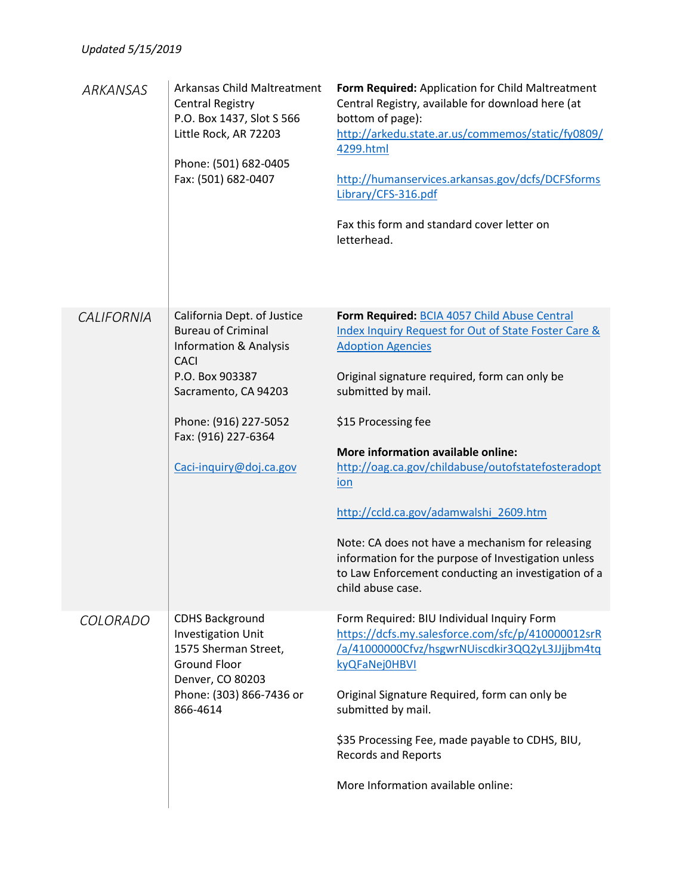| ARKANSAS          | Arkansas Child Maltreatment<br><b>Central Registry</b><br>P.O. Box 1437, Slot S 566<br>Little Rock, AR 72203<br>Phone: (501) 682-0405<br>Fax: (501) 682-0407                                                                       | Form Required: Application for Child Maltreatment<br>Central Registry, available for download here (at<br>bottom of page):<br>http://arkedu.state.ar.us/commemos/static/fy0809/<br>4299.html<br>http://humanservices.arkansas.gov/dcfs/DCFSforms<br>Library/CFS-316.pdf<br>Fax this form and standard cover letter on<br>letterhead.                                                                                                                                                                                                                                      |
|-------------------|------------------------------------------------------------------------------------------------------------------------------------------------------------------------------------------------------------------------------------|---------------------------------------------------------------------------------------------------------------------------------------------------------------------------------------------------------------------------------------------------------------------------------------------------------------------------------------------------------------------------------------------------------------------------------------------------------------------------------------------------------------------------------------------------------------------------|
| <b>CALIFORNIA</b> | California Dept. of Justice<br><b>Bureau of Criminal</b><br><b>Information &amp; Analysis</b><br><b>CACI</b><br>P.O. Box 903387<br>Sacramento, CA 94203<br>Phone: (916) 227-5052<br>Fax: (916) 227-6364<br>Caci-inquiry@doj.ca.gov | Form Required: BCIA 4057 Child Abuse Central<br>Index Inquiry Request for Out of State Foster Care &<br><b>Adoption Agencies</b><br>Original signature required, form can only be<br>submitted by mail.<br>\$15 Processing fee<br>More information available online:<br>http://oag.ca.gov/childabuse/outofstatefosteradopt<br><u>ion</u><br>http://ccld.ca.gov/adamwalshi 2609.htm<br>Note: CA does not have a mechanism for releasing<br>information for the purpose of Investigation unless<br>to Law Enforcement conducting an investigation of a<br>child abuse case. |
| COLORADO          | <b>CDHS Background</b><br><b>Investigation Unit</b><br>1575 Sherman Street,<br><b>Ground Floor</b><br>Denver, CO 80203<br>Phone: (303) 866-7436 or<br>866-4614                                                                     | Form Required: BIU Individual Inquiry Form<br>https://dcfs.my.salesforce.com/sfc/p/410000012srR<br>/a/41000000Cfvz/hsgwrNUiscdkir3QQ2yL3JJjjbm4tq<br>kyQFaNej0HBVI<br>Original Signature Required, form can only be<br>submitted by mail.<br>\$35 Processing Fee, made payable to CDHS, BIU,<br><b>Records and Reports</b><br>More Information available online:                                                                                                                                                                                                          |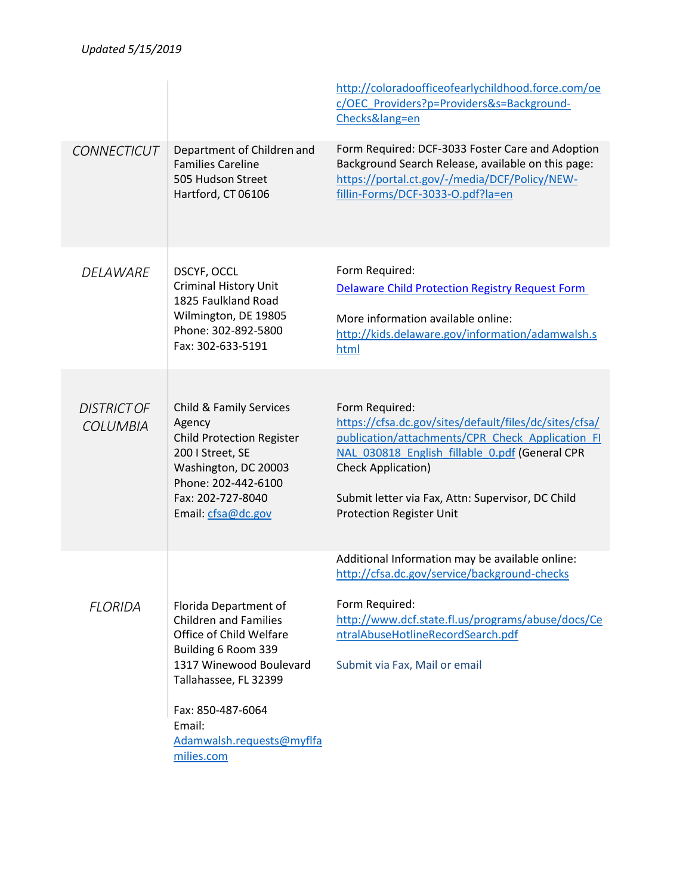|                                       |                                                                                                                                                                                                                                       | http://coloradoofficeofearlychildhood.force.com/oe<br>c/OEC Providers?p=Providers&s=Background-<br>Checks⟨=en                                                                                                                                                                                |
|---------------------------------------|---------------------------------------------------------------------------------------------------------------------------------------------------------------------------------------------------------------------------------------|----------------------------------------------------------------------------------------------------------------------------------------------------------------------------------------------------------------------------------------------------------------------------------------------|
| <b>CONNECTICUT</b>                    | Department of Children and<br><b>Families Careline</b><br>505 Hudson Street<br>Hartford, CT 06106                                                                                                                                     | Form Required: DCF-3033 Foster Care and Adoption<br>Background Search Release, available on this page:<br>https://portal.ct.gov/-/media/DCF/Policy/NEW-<br>fillin-Forms/DCF-3033-O.pdf?la=en                                                                                                 |
| <b>DELAWARE</b>                       | DSCYF, OCCL<br>Criminal History Unit<br>1825 Faulkland Road<br>Wilmington, DE 19805<br>Phone: 302-892-5800<br>Fax: 302-633-5191                                                                                                       | Form Required:<br><b>Delaware Child Protection Registry Request Form</b><br>More information available online:<br>http://kids.delaware.gov/information/adamwalsh.s<br>html                                                                                                                   |
| <b>DISTRICT OF</b><br><b>COLUMBIA</b> | Child & Family Services<br>Agency<br><b>Child Protection Register</b><br>200   Street, SE<br>Washington, DC 20003<br>Phone: 202-442-6100<br>Fax: 202-727-8040<br>Email: cfsa@dc.gov                                                   | Form Required:<br>https://cfsa.dc.gov/sites/default/files/dc/sites/cfsa/<br>publication/attachments/CPR Check Application FI<br>NAL 030818 English fillable 0.pdf (General CPR<br>Check Application)<br>Submit letter via Fax, Attn: Supervisor, DC Child<br><b>Protection Register Unit</b> |
| <b>FLORIDA</b>                        | Florida Department of<br><b>Children and Families</b><br>Office of Child Welfare<br>Building 6 Room 339<br>1317 Winewood Boulevard<br>Tallahassee, FL 32399<br>Fax: 850-487-6064<br>Email:<br>Adamwalsh.requests@myflfa<br>milies.com | Additional Information may be available online:<br>http://cfsa.dc.gov/service/background-checks<br>Form Required:<br>http://www.dcf.state.fl.us/programs/abuse/docs/Ce<br>ntralAbuseHotlineRecordSearch.pdf<br>Submit via Fax, Mail or email                                                 |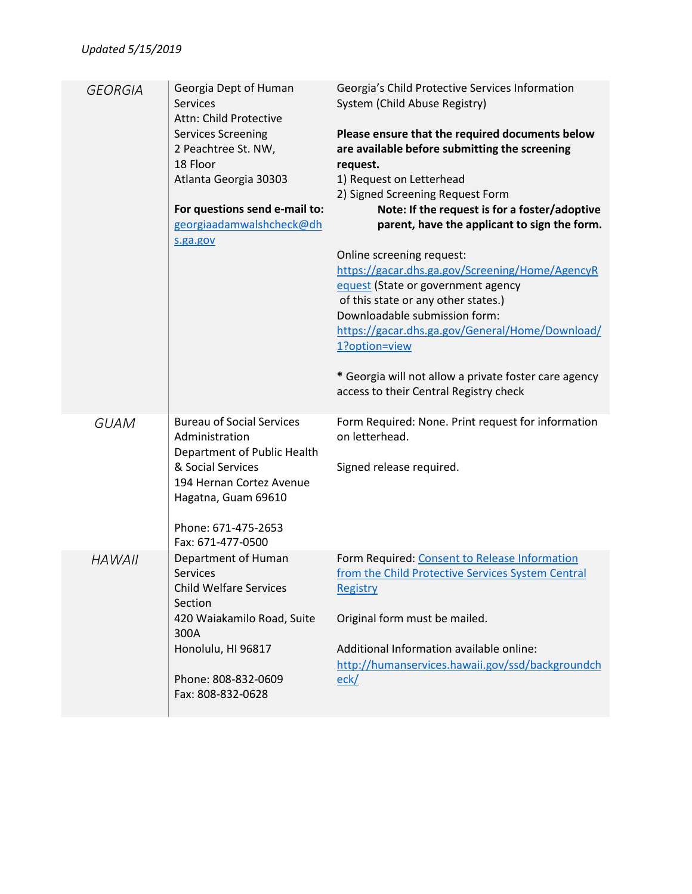| <b>GEORGIA</b> | Georgia Dept of Human<br><b>Services</b><br>Attn: Child Protective<br><b>Services Screening</b><br>2 Peachtree St. NW,<br>18 Floor<br>Atlanta Georgia 30303<br>For questions send e-mail to:<br>georgiaadamwalshcheck@dh<br>s.ga.gov | Georgia's Child Protective Services Information<br>System (Child Abuse Registry)<br>Please ensure that the required documents below<br>are available before submitting the screening<br>request.<br>1) Request on Letterhead<br>2) Signed Screening Request Form<br>Note: If the request is for a foster/adoptive<br>parent, have the applicant to sign the form.<br>Online screening request:<br>https://gacar.dhs.ga.gov/Screening/Home/AgencyR<br>equest (State or government agency<br>of this state or any other states.)<br>Downloadable submission form:<br>https://gacar.dhs.ga.gov/General/Home/Download/<br>1?option=view<br>* Georgia will not allow a private foster care agency |
|----------------|--------------------------------------------------------------------------------------------------------------------------------------------------------------------------------------------------------------------------------------|----------------------------------------------------------------------------------------------------------------------------------------------------------------------------------------------------------------------------------------------------------------------------------------------------------------------------------------------------------------------------------------------------------------------------------------------------------------------------------------------------------------------------------------------------------------------------------------------------------------------------------------------------------------------------------------------|
|                |                                                                                                                                                                                                                                      | access to their Central Registry check                                                                                                                                                                                                                                                                                                                                                                                                                                                                                                                                                                                                                                                       |
| <b>GUAM</b>    | <b>Bureau of Social Services</b><br>Administration<br>Department of Public Health<br>& Social Services<br>194 Hernan Cortez Avenue<br>Hagatna, Guam 69610<br>Phone: 671-475-2653<br>Fax: 671-477-0500                                | Form Required: None. Print request for information<br>on letterhead.<br>Signed release required.                                                                                                                                                                                                                                                                                                                                                                                                                                                                                                                                                                                             |
| <b>HAWAII</b>  | Department of Human<br>Services<br><b>Child Welfare Services</b><br>Section<br>420 Waiakamilo Road, Suite<br>300A<br>Honolulu, HI 96817<br>Phone: 808-832-0609<br>Fax: 808-832-0628                                                  | Form Required: Consent to Release Information<br>from the Child Protective Services System Central<br>Registry<br>Original form must be mailed.<br>Additional Information available online:<br>http://humanservices.hawaii.gov/ssd/backgroundch<br>eck/                                                                                                                                                                                                                                                                                                                                                                                                                                      |
|                |                                                                                                                                                                                                                                      |                                                                                                                                                                                                                                                                                                                                                                                                                                                                                                                                                                                                                                                                                              |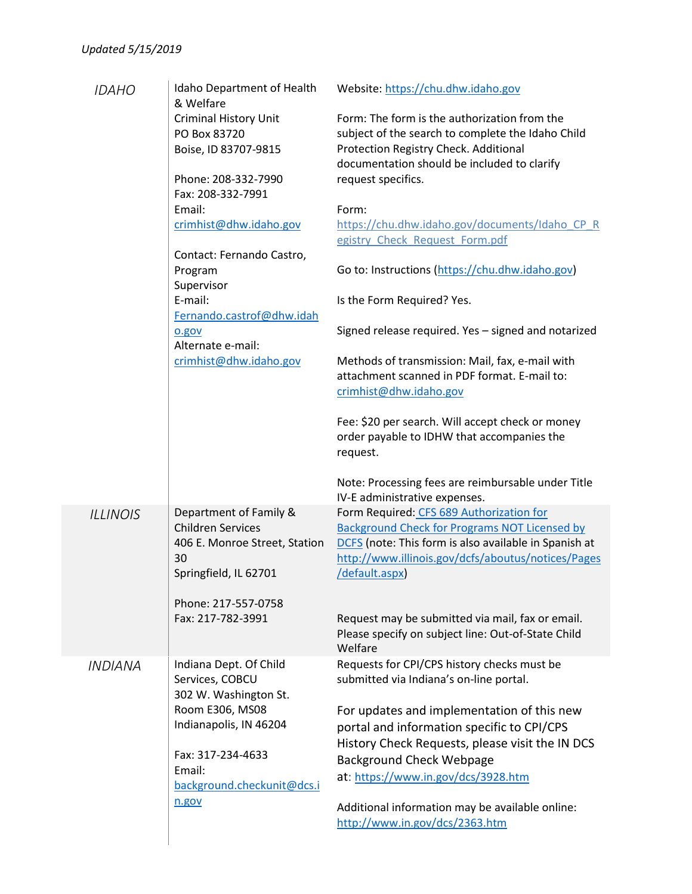|                       | Idaho Department of Health<br>& Welfare                         | Website: https://chu.dhw.idaho.gov                                                                                                                                  |
|-----------------------|-----------------------------------------------------------------|---------------------------------------------------------------------------------------------------------------------------------------------------------------------|
|                       | <b>Criminal History Unit</b><br>PO Box 83720                    | Form: The form is the authorization from the<br>subject of the search to complete the Idaho Child                                                                   |
|                       | Boise, ID 83707-9815                                            | Protection Registry Check. Additional<br>documentation should be included to clarify                                                                                |
|                       | Phone: 208-332-7990<br>Fax: 208-332-7991                        | request specifics.                                                                                                                                                  |
|                       | Email:                                                          | Form:                                                                                                                                                               |
|                       | crimhist@dhw.idaho.gov                                          | https://chu.dhw.idaho.gov/documents/Idaho CP R<br>egistry Check Request Form.pdf                                                                                    |
|                       | Contact: Fernando Castro,                                       |                                                                                                                                                                     |
|                       | Program                                                         | Go to: Instructions (https://chu.dhw.idaho.gov)                                                                                                                     |
|                       | Supervisor<br>E-mail:                                           | Is the Form Required? Yes.                                                                                                                                          |
|                       | Fernando.castrof@dhw.idah                                       |                                                                                                                                                                     |
|                       | o.gov<br>Alternate e-mail:                                      | Signed release required. Yes - signed and notarized                                                                                                                 |
|                       | crimhist@dhw.idaho.gov                                          | Methods of transmission: Mail, fax, e-mail with<br>attachment scanned in PDF format. E-mail to:<br>crimhist@dhw.idaho.gov                                           |
|                       |                                                                 | Fee: \$20 per search. Will accept check or money<br>order payable to IDHW that accompanies the<br>request.                                                          |
|                       |                                                                 | Note: Processing fees are reimbursable under Title<br>IV-E administrative expenses.                                                                                 |
|                       | Department of Family &                                          | Form Required: CFS 689 Authorization for                                                                                                                            |
| <b>ILLINOIS</b>       | <b>Children Services</b><br>406 E. Monroe Street, Station<br>30 | <b>Background Check for Programs NOT Licensed by</b><br>DCFS (note: This form is also available in Spanish at<br>http://www.illinois.gov/dcfs/aboutus/notices/Pages |
|                       | Springfield, IL 62701                                           | /default.aspx)                                                                                                                                                      |
|                       | Phone: 217-557-0758<br>Fax: 217-782-3991                        | Request may be submitted via mail, fax or email.<br>Please specify on subject line: Out-of-State Child                                                              |
| <i><b>INDIANA</b></i> | Indiana Dept. Of Child<br>Services, COBCU                       | Welfare<br>Requests for CPI/CPS history checks must be<br>submitted via Indiana's on-line portal.                                                                   |
|                       | 302 W. Washington St.                                           |                                                                                                                                                                     |
|                       | Room E306, MS08                                                 | For updates and implementation of this new                                                                                                                          |
|                       | Indianapolis, IN 46204                                          | portal and information specific to CPI/CPS                                                                                                                          |
|                       | Fax: 317-234-4633                                               | History Check Requests, please visit the IN DCS<br><b>Background Check Webpage</b>                                                                                  |
|                       | Email:                                                          | at: https://www.in.gov/dcs/3928.htm                                                                                                                                 |
|                       | background.checkunit@dcs.i                                      |                                                                                                                                                                     |
|                       | n.gov                                                           | Additional information may be available online:<br>http://www.in.gov/dcs/2363.htm                                                                                   |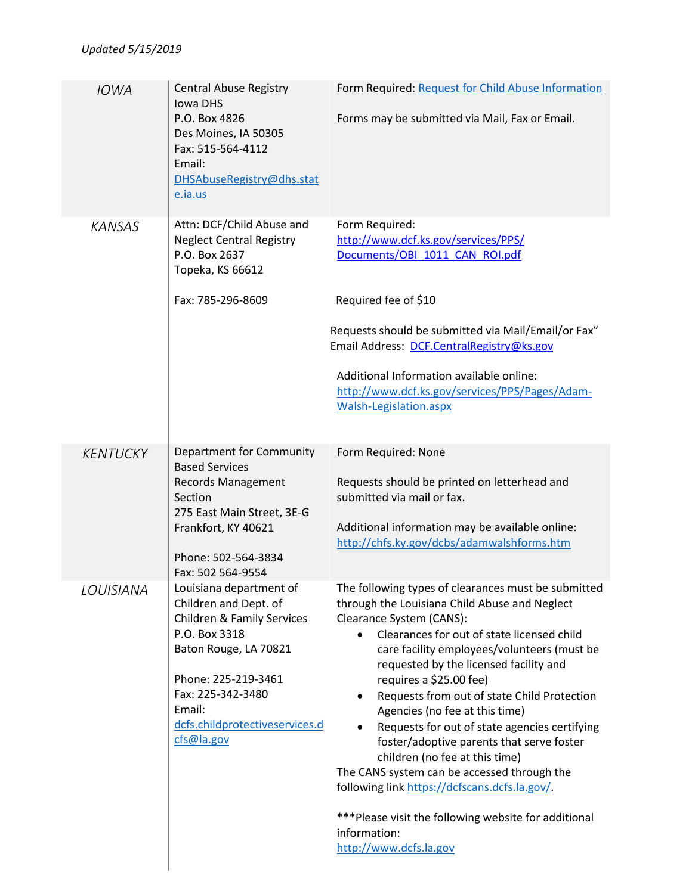| <b>IOWA</b>     | <b>Central Abuse Registry</b><br>Iowa DHS<br>P.O. Box 4826<br>Des Moines, IA 50305<br>Fax: 515-564-4112<br>Email:<br>DHSAbuseRegistry@dhs.stat<br>e.ia.us                                                                                 | Form Required: Request for Child Abuse Information<br>Forms may be submitted via Mail, Fax or Email.                                                                                                                                                                                                                                                                                                                                                                                                                                                                                                                                                                                                                       |
|-----------------|-------------------------------------------------------------------------------------------------------------------------------------------------------------------------------------------------------------------------------------------|----------------------------------------------------------------------------------------------------------------------------------------------------------------------------------------------------------------------------------------------------------------------------------------------------------------------------------------------------------------------------------------------------------------------------------------------------------------------------------------------------------------------------------------------------------------------------------------------------------------------------------------------------------------------------------------------------------------------------|
| <b>KANSAS</b>   | Attn: DCF/Child Abuse and<br><b>Neglect Central Registry</b><br>P.O. Box 2637<br>Topeka, KS 66612<br>Fax: 785-296-8609                                                                                                                    | Form Required:<br>http://www.dcf.ks.gov/services/PPS/<br>Documents/OBI 1011 CAN ROI.pdf<br>Required fee of \$10<br>Requests should be submitted via Mail/Email/or Fax"<br>Email Address: DCF.CentralRegistry@ks.gov<br>Additional Information available online:<br>http://www.dcf.ks.gov/services/PPS/Pages/Adam-<br>Walsh-Legislation.aspx                                                                                                                                                                                                                                                                                                                                                                                |
| <b>KENTUCKY</b> | Department for Community<br><b>Based Services</b><br>Records Management<br>Section<br>275 East Main Street, 3E-G<br>Frankfort, KY 40621<br>Phone: 502-564-3834<br>Fax: 502 564-9554                                                       | Form Required: None<br>Requests should be printed on letterhead and<br>submitted via mail or fax.<br>Additional information may be available online:<br>http://chfs.ky.gov/dcbs/adamwalshforms.htm                                                                                                                                                                                                                                                                                                                                                                                                                                                                                                                         |
| LOUISIANA       | Louisiana department of<br>Children and Dept. of<br><b>Children &amp; Family Services</b><br>P.O. Box 3318<br>Baton Rouge, LA 70821<br>Phone: 225-219-3461<br>Fax: 225-342-3480<br>Email:<br>dcfs.childprotectiveservices.d<br>cfs@la.gov | The following types of clearances must be submitted<br>through the Louisiana Child Abuse and Neglect<br>Clearance System (CANS):<br>Clearances for out of state licensed child<br>care facility employees/volunteers (must be<br>requested by the licensed facility and<br>requires a \$25.00 fee)<br>Requests from out of state Child Protection<br>٠<br>Agencies (no fee at this time)<br>Requests for out of state agencies certifying<br>foster/adoptive parents that serve foster<br>children (no fee at this time)<br>The CANS system can be accessed through the<br>following link https://dcfscans.dcfs.la.gov/.<br>***Please visit the following website for additional<br>information:<br>http://www.dcfs.la.gov |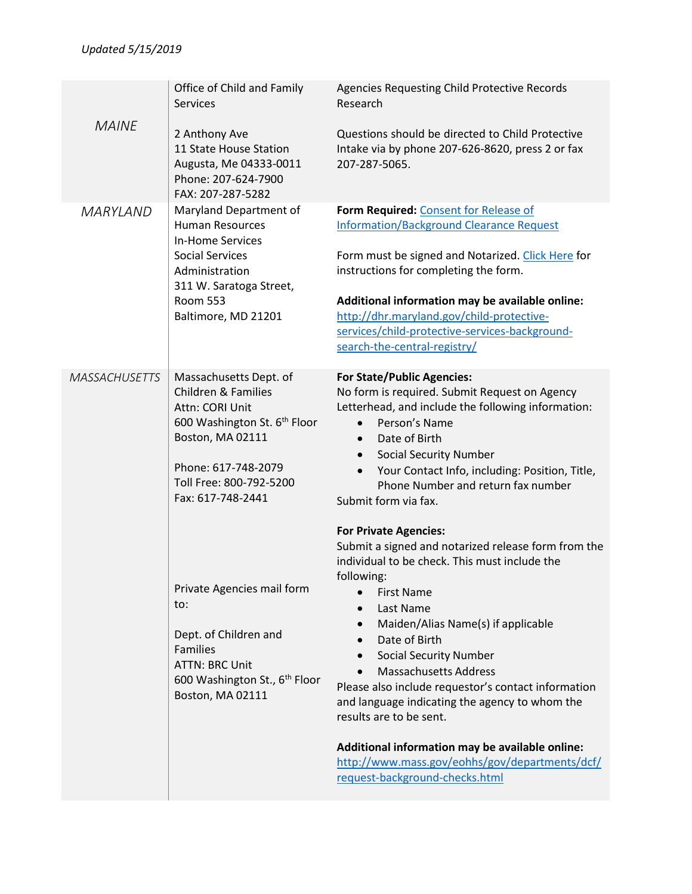|                      | Office of Child and Family<br><b>Services</b>                                                                                                                                                          | Agencies Requesting Child Protective Records<br>Research                                                                                                                                                                                                                                                                                                                                                                                                                                                                                                                                |
|----------------------|--------------------------------------------------------------------------------------------------------------------------------------------------------------------------------------------------------|-----------------------------------------------------------------------------------------------------------------------------------------------------------------------------------------------------------------------------------------------------------------------------------------------------------------------------------------------------------------------------------------------------------------------------------------------------------------------------------------------------------------------------------------------------------------------------------------|
| <b>MAINE</b>         | 2 Anthony Ave<br>11 State House Station<br>Augusta, Me 04333-0011<br>Phone: 207-624-7900<br>FAX: 207-287-5282                                                                                          | Questions should be directed to Child Protective<br>Intake via by phone 207-626-8620, press 2 or fax<br>207-287-5065.                                                                                                                                                                                                                                                                                                                                                                                                                                                                   |
| <b>MARYLAND</b>      | Maryland Department of<br><b>Human Resources</b><br><b>In-Home Services</b><br><b>Social Services</b><br>Administration<br>311 W. Saratoga Street,<br><b>Room 553</b><br>Baltimore, MD 21201           | Form Required: Consent for Release of<br><b>Information/Background Clearance Request</b><br>Form must be signed and Notarized. Click Here for<br>instructions for completing the form.<br>Additional information may be available online:<br>http://dhr.maryland.gov/child-protective-<br>services/child-protective-services-background-<br>search-the-central-registry/                                                                                                                                                                                                                |
| <b>MASSACHUSETTS</b> | Massachusetts Dept. of<br><b>Children &amp; Families</b><br>Attn: CORI Unit<br>600 Washington St. 6th Floor<br>Boston, MA 02111<br>Phone: 617-748-2079<br>Toll Free: 800-792-5200<br>Fax: 617-748-2441 | <b>For State/Public Agencies:</b><br>No form is required. Submit Request on Agency<br>Letterhead, and include the following information:<br>Person's Name<br>Date of Birth<br>$\bullet$<br><b>Social Security Number</b><br>$\bullet$<br>Your Contact Info, including: Position, Title,<br>Phone Number and return fax number<br>Submit form via fax.                                                                                                                                                                                                                                   |
|                      | Private Agencies mail form<br>to:<br>Dept. of Children and<br><b>Families</b><br><b>ATTN: BRC Unit</b><br>600 Washington St., 6 <sup>th</sup> Floor<br>Boston, MA 02111                                | <b>For Private Agencies:</b><br>Submit a signed and notarized release form from the<br>individual to be check. This must include the<br>following:<br><b>First Name</b><br>Last Name<br>Maiden/Alias Name(s) if applicable<br>Date of Birth<br><b>Social Security Number</b><br><b>Massachusetts Address</b><br>Please also include requestor's contact information<br>and language indicating the agency to whom the<br>results are to be sent.<br>Additional information may be available online:<br>http://www.mass.gov/eohhs/gov/departments/dcf/<br>request-background-checks.html |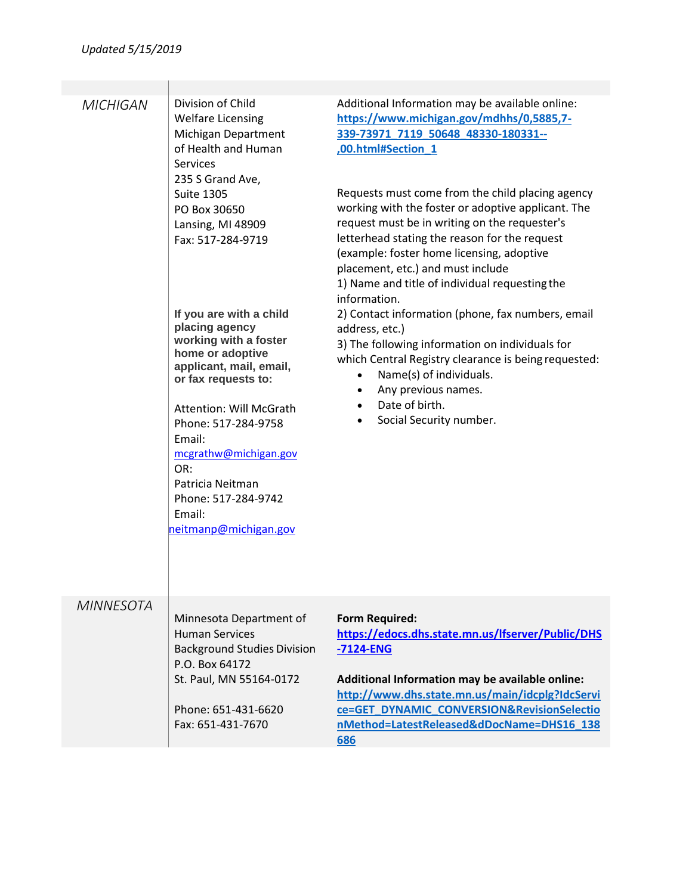| <b>MICHIGAN</b>  | Division of Child<br><b>Welfare Licensing</b><br>Michigan Department<br>of Health and Human<br><b>Services</b><br>235 S Grand Ave,<br><b>Suite 1305</b><br>PO Box 30650<br>Lansing, MI 48909<br>Fax: 517-284-9719<br>If you are with a child<br>placing agency<br>working with a foster<br>home or adoptive<br>applicant, mail, email,<br>or fax requests to:<br><b>Attention: Will McGrath</b><br>Phone: 517-284-9758<br>Email:<br>mcgrathw@michigan.gov<br>OR:<br>Patricia Neitman<br>Phone: 517-284-9742<br>Email:<br>neitmanp@michigan.gov | Additional Information may be available online:<br>https://www.michigan.gov/mdhhs/0,5885,7-<br>339-73971_7119_50648_48330-180331--<br>,00.html#Section 1<br>Requests must come from the child placing agency<br>working with the foster or adoptive applicant. The<br>request must be in writing on the requester's<br>letterhead stating the reason for the request<br>(example: foster home licensing, adoptive<br>placement, etc.) and must include<br>1) Name and title of individual requesting the<br>information.<br>2) Contact information (phone, fax numbers, email<br>address, etc.)<br>3) The following information on individuals for<br>which Central Registry clearance is being requested:<br>Name(s) of individuals.<br>$\bullet$<br>Any previous names.<br>٠<br>Date of birth.<br>$\bullet$<br>Social Security number.<br>$\bullet$ |
|------------------|------------------------------------------------------------------------------------------------------------------------------------------------------------------------------------------------------------------------------------------------------------------------------------------------------------------------------------------------------------------------------------------------------------------------------------------------------------------------------------------------------------------------------------------------|-------------------------------------------------------------------------------------------------------------------------------------------------------------------------------------------------------------------------------------------------------------------------------------------------------------------------------------------------------------------------------------------------------------------------------------------------------------------------------------------------------------------------------------------------------------------------------------------------------------------------------------------------------------------------------------------------------------------------------------------------------------------------------------------------------------------------------------------------------|
| <b>MINNESOTA</b> | Minnesota Department of<br><b>Human Services</b><br><b>Background Studies Division</b><br>P.O. Box 64172<br>St. Paul, MN 55164-0172<br>Phone: 651-431-6620<br>Fax: 651-431-7670                                                                                                                                                                                                                                                                                                                                                                | <b>Form Required:</b><br>https://edocs.dhs.state.mn.us/lfserver/Public/DHS<br>$-7124$ -ENG<br>Additional Information may be available online:<br>http://www.dhs.state.mn.us/main/idcplg?IdcServi<br>ce=GET_DYNAMIC_CONVERSION&RevisionSelectio<br>nMethod=LatestReleased&dDocName=DHS16_138<br>686                                                                                                                                                                                                                                                                                                                                                                                                                                                                                                                                                    |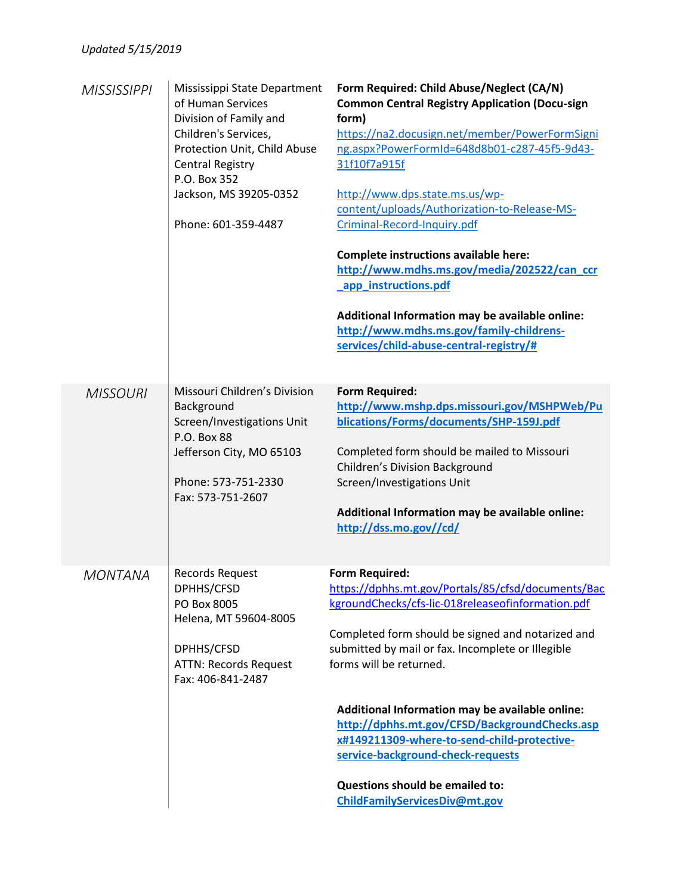| <b>MISSISSIPPI</b> | Mississippi State Department<br>of Human Services<br>Division of Family and<br>Children's Services,<br>Protection Unit, Child Abuse<br><b>Central Registry</b><br>P.O. Box 352<br>Jackson, MS 39205-0352<br>Phone: 601-359-4487 | Form Required: Child Abuse/Neglect (CA/N)<br><b>Common Central Registry Application (Docu-sign</b><br>form)<br>https://na2.docusign.net/member/PowerFormSigni<br>ng.aspx?PowerFormId=648d8b01-c287-45f5-9d43-<br>31f10f7a915f<br>http://www.dps.state.ms.us/wp-<br>content/uploads/Authorization-to-Release-MS-<br>Criminal-Record-Inquiry.pdf<br>Complete instructions available here:<br>http://www.mdhs.ms.gov/media/202522/can_ccr<br>app instructions.pdf<br>Additional Information may be available online:<br>http://www.mdhs.ms.gov/family-childrens-<br>services/child-abuse-central-registry/# |
|--------------------|---------------------------------------------------------------------------------------------------------------------------------------------------------------------------------------------------------------------------------|----------------------------------------------------------------------------------------------------------------------------------------------------------------------------------------------------------------------------------------------------------------------------------------------------------------------------------------------------------------------------------------------------------------------------------------------------------------------------------------------------------------------------------------------------------------------------------------------------------|
| <b>MISSOURI</b>    | Missouri Children's Division<br>Background<br>Screen/Investigations Unit<br>P.O. Box 88<br>Jefferson City, MO 65103<br>Phone: 573-751-2330<br>Fax: 573-751-2607                                                                 | <b>Form Required:</b><br>http://www.mshp.dps.missouri.gov/MSHPWeb/Pu<br>blications/Forms/documents/SHP-159J.pdf<br>Completed form should be mailed to Missouri<br><b>Children's Division Background</b><br>Screen/Investigations Unit<br>Additional Information may be available online:<br>http://dss.mo.gov//cd/                                                                                                                                                                                                                                                                                       |
| <b>MONTANA</b>     | Records Request<br>DPHHS/CFSD<br>PO Box 8005<br>Helena, MT 59604-8005<br>DPHHS/CFSD<br><b>ATTN: Records Request</b><br>Fax: 406-841-2487                                                                                        | <b>Form Required:</b><br>https://dphhs.mt.gov/Portals/85/cfsd/documents/Bac<br>kgroundChecks/cfs-lic-018releaseofinformation.pdf<br>Completed form should be signed and notarized and<br>submitted by mail or fax. Incomplete or Illegible<br>forms will be returned.<br>Additional Information may be available online:<br>http://dphhs.mt.gov/CFSD/BackgroundChecks.asp<br>x#149211309-where-to-send-child-protective-<br>service-background-check-requests<br>Questions should be emailed to:<br>ChildFamilyServicesDiv@mt.gov                                                                        |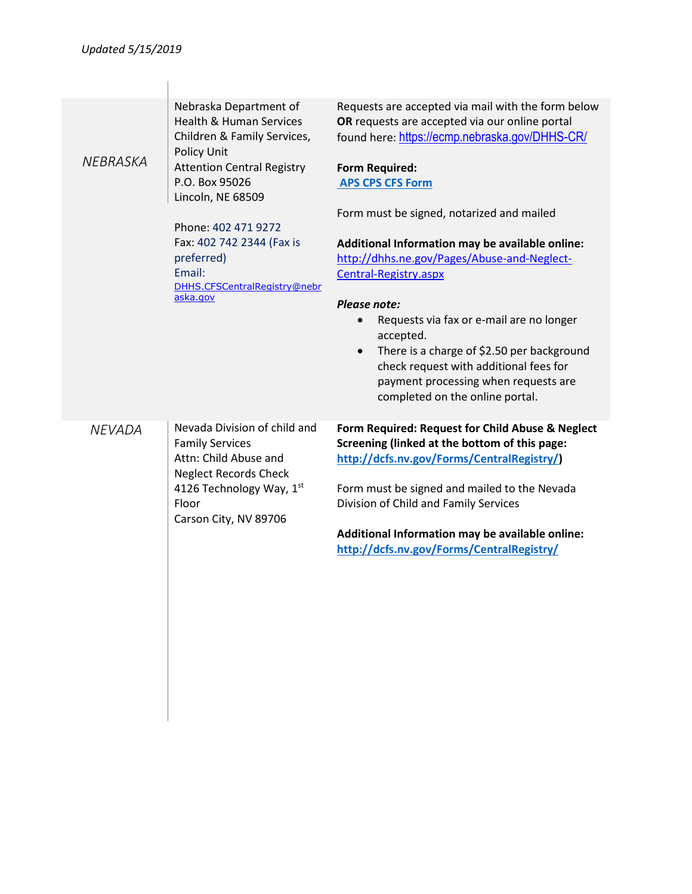| <b>NEBRASKA</b> | Nebraska Department of<br><b>Health &amp; Human Services</b><br>Children & Family Services,<br>Policy Unit<br><b>Attention Central Registry</b><br>P.O. Box 95026<br>Lincoln, NE 68509<br>Phone: 402 471 9272<br>Fax: 402 742 2344 (Fax is<br>preferred)<br>Email:<br>DHHS.CFSCentralRegistry@nebr<br>aska.gov | Requests are accepted via mail with the form below<br>OR requests are accepted via our online portal<br>found here: https://ecmp.nebraska.gov/DHHS-CR/<br><b>Form Required:</b><br><b>APS CPS CFS Form</b><br>Form must be signed, notarized and mailed<br>Additional Information may be available online:<br>http://dhhs.ne.gov/Pages/Abuse-and-Neglect-<br>Central-Registry.aspx<br>Please note:<br>Requests via fax or e-mail are no longer<br>$\bullet$<br>accepted.<br>There is a charge of \$2.50 per background<br>$\bullet$<br>check request with additional fees for<br>payment processing when requests are<br>completed on the online portal. |
|-----------------|----------------------------------------------------------------------------------------------------------------------------------------------------------------------------------------------------------------------------------------------------------------------------------------------------------------|----------------------------------------------------------------------------------------------------------------------------------------------------------------------------------------------------------------------------------------------------------------------------------------------------------------------------------------------------------------------------------------------------------------------------------------------------------------------------------------------------------------------------------------------------------------------------------------------------------------------------------------------------------|
| <b>NEVADA</b>   | Nevada Division of child and<br><b>Family Services</b><br>Attn: Child Abuse and<br><b>Neglect Records Check</b><br>4126 Technology Way, 1st<br>Floor<br>Carson City, NV 89706                                                                                                                                  | Form Required: Request for Child Abuse & Neglect<br>Screening (linked at the bottom of this page:<br>http://dcfs.nv.gov/Forms/CentralRegistry/)<br>Form must be signed and mailed to the Nevada<br>Division of Child and Family Services<br>Additional Information may be available online:<br>http://dcfs.nv.gov/Forms/CentralRegistry/                                                                                                                                                                                                                                                                                                                 |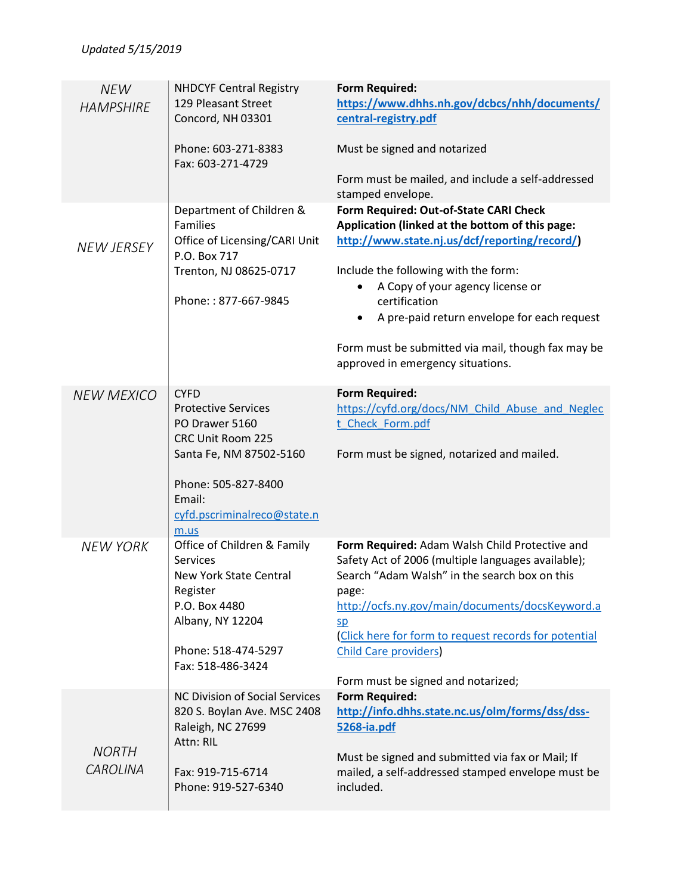| <b>NEW</b><br><b>HAMPSHIRE</b>  | <b>NHDCYF Central Registry</b><br>129 Pleasant Street<br>Concord, NH 03301                                                                     | <b>Form Required:</b><br>https://www.dhhs.nh.gov/dcbcs/nhh/documents/<br>central-registry.pdf                                                                                                                                                                                                                                                                                                  |
|---------------------------------|------------------------------------------------------------------------------------------------------------------------------------------------|------------------------------------------------------------------------------------------------------------------------------------------------------------------------------------------------------------------------------------------------------------------------------------------------------------------------------------------------------------------------------------------------|
|                                 | Phone: 603-271-8383<br>Fax: 603-271-4729                                                                                                       | Must be signed and notarized<br>Form must be mailed, and include a self-addressed<br>stamped envelope.                                                                                                                                                                                                                                                                                         |
| <b>NEW JERSEY</b>               | Department of Children &<br><b>Families</b><br>Office of Licensing/CARI Unit<br>P.O. Box 717<br>Trenton, NJ 08625-0717<br>Phone:: 877-667-9845 | Form Required: Out-of-State CARI Check<br>Application (linked at the bottom of this page:<br>http://www.state.nj.us/dcf/reporting/record/)<br>Include the following with the form:<br>A Copy of your agency license or<br>certification<br>A pre-paid return envelope for each request<br>$\bullet$<br>Form must be submitted via mail, though fax may be<br>approved in emergency situations. |
| <b>NEW MEXICO</b>               | <b>CYFD</b><br><b>Protective Services</b><br>PO Drawer 5160<br>CRC Unit Room 225<br>Santa Fe, NM 87502-5160<br>Phone: 505-827-8400             | <b>Form Required:</b><br>https://cyfd.org/docs/NM Child Abuse and Neglec<br>t Check Form.pdf<br>Form must be signed, notarized and mailed.                                                                                                                                                                                                                                                     |
|                                 | Email:<br>cyfd.pscriminalreco@state.n<br>m.us                                                                                                  |                                                                                                                                                                                                                                                                                                                                                                                                |
| <b>NEW YORK</b>                 | Office of Children & Family<br>Services<br>New York State Central<br>Register<br>P.O. Box 4480<br>Albany, NY 12204<br>Phone: 518-474-5297      | Form Required: Adam Walsh Child Protective and<br>Safety Act of 2006 (multiple languages available);<br>Search "Adam Walsh" in the search box on this<br>page:<br>http://ocfs.ny.gov/main/documents/docsKeyword.a<br>SD<br>(Click here for form to request records for potential<br><b>Child Care providers</b>                                                                                |
|                                 | Fax: 518-486-3424                                                                                                                              | Form must be signed and notarized;                                                                                                                                                                                                                                                                                                                                                             |
| <b>NORTH</b><br><b>CAROLINA</b> | NC Division of Social Services<br>820 S. Boylan Ave. MSC 2408<br>Raleigh, NC 27699<br>Attn: RIL<br>Fax: 919-715-6714<br>Phone: 919-527-6340    | <b>Form Required:</b><br>http://info.dhhs.state.nc.us/olm/forms/dss/dss-<br>5268-ia.pdf<br>Must be signed and submitted via fax or Mail; If<br>mailed, a self-addressed stamped envelope must be<br>included.                                                                                                                                                                                  |
|                                 |                                                                                                                                                |                                                                                                                                                                                                                                                                                                                                                                                                |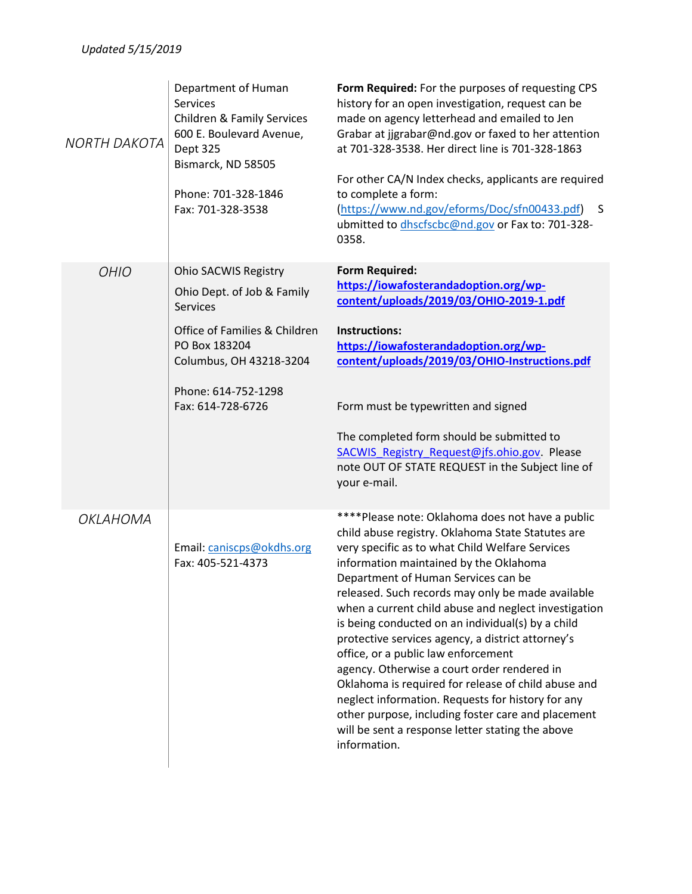| <b>NORTH DAKOTA</b> | Department of Human<br><b>Services</b><br>Children & Family Services<br>600 E. Boulevard Avenue,<br>Dept 325<br>Bismarck, ND 58505<br>Phone: 701-328-1846<br>Fax: 701-328-3538                 | Form Required: For the purposes of requesting CPS<br>history for an open investigation, request can be<br>made on agency letterhead and emailed to Jen<br>Grabar at jjgrabar@nd.gov or faxed to her attention<br>at 701-328-3538. Her direct line is 701-328-1863<br>For other CA/N Index checks, applicants are required<br>to complete a form:<br>(https://www.nd.gov/eforms/Doc/sfn00433.pdf)<br>S<br>ubmitted to dhscfscbc@nd.gov or Fax to: 701-328-<br>0358.                                                                                                                                                                                                                                                                                                                           |
|---------------------|------------------------------------------------------------------------------------------------------------------------------------------------------------------------------------------------|----------------------------------------------------------------------------------------------------------------------------------------------------------------------------------------------------------------------------------------------------------------------------------------------------------------------------------------------------------------------------------------------------------------------------------------------------------------------------------------------------------------------------------------------------------------------------------------------------------------------------------------------------------------------------------------------------------------------------------------------------------------------------------------------|
| <b>OHIO</b>         | Ohio SACWIS Registry<br>Ohio Dept. of Job & Family<br><b>Services</b><br>Office of Families & Children<br>PO Box 183204<br>Columbus, OH 43218-3204<br>Phone: 614-752-1298<br>Fax: 614-728-6726 | <b>Form Required:</b><br>https://iowafosterandadoption.org/wp-<br>content/uploads/2019/03/OHIO-2019-1.pdf<br>Instructions:<br>https://iowafosterandadoption.org/wp-<br>content/uploads/2019/03/OHIO-Instructions.pdf<br>Form must be typewritten and signed<br>The completed form should be submitted to<br>SACWIS Registry Request@jfs.ohio.gov Please<br>note OUT OF STATE REQUEST in the Subject line of<br>your e-mail.                                                                                                                                                                                                                                                                                                                                                                  |
| OKLAHOMA            | Email: caniscps@okdhs.org<br>Fax: 405-521-4373                                                                                                                                                 | ****Please note: Oklahoma does not have a public<br>child abuse registry. Oklahoma State Statutes are<br>very specific as to what Child Welfare Services<br>information maintained by the Oklahoma<br>Department of Human Services can be<br>released. Such records may only be made available<br>when a current child abuse and neglect investigation<br>is being conducted on an individual(s) by a child<br>protective services agency, a district attorney's<br>office, or a public law enforcement<br>agency. Otherwise a court order rendered in<br>Oklahoma is required for release of child abuse and<br>neglect information. Requests for history for any<br>other purpose, including foster care and placement<br>will be sent a response letter stating the above<br>information. |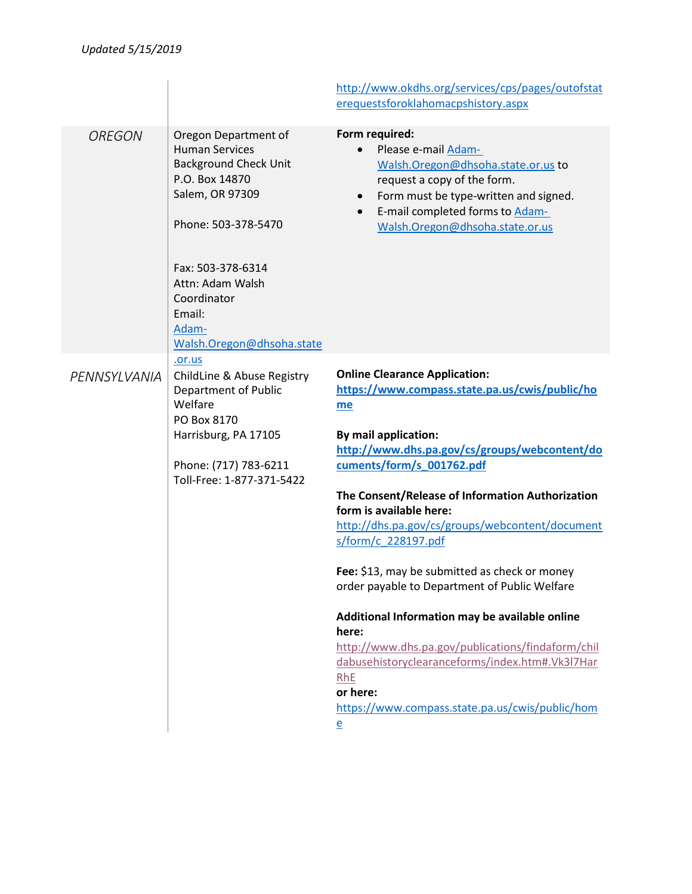|               |                                                                                                                                                                                                                                                   | http://www.okdhs.org/services/cps/pages/outofstat<br>erequestsforoklahomacpshistory.aspx                                                                                                                                                                                                                                                                                                                                                                                                                                                                                                                                                                                                                                          |
|---------------|---------------------------------------------------------------------------------------------------------------------------------------------------------------------------------------------------------------------------------------------------|-----------------------------------------------------------------------------------------------------------------------------------------------------------------------------------------------------------------------------------------------------------------------------------------------------------------------------------------------------------------------------------------------------------------------------------------------------------------------------------------------------------------------------------------------------------------------------------------------------------------------------------------------------------------------------------------------------------------------------------|
| <b>OREGON</b> | Oregon Department of<br><b>Human Services</b><br><b>Background Check Unit</b><br>P.O. Box 14870<br>Salem, OR 97309<br>Phone: 503-378-5470<br>Fax: 503-378-6314<br>Attn: Adam Walsh<br>Coordinator<br>Email:<br>Adam-<br>Walsh.Oregon@dhsoha.state | Form required:<br>Please e-mail Adam-<br>Walsh.Oregon@dhsoha.state.or.us to<br>request a copy of the form.<br>Form must be type-written and signed.<br>$\bullet$<br>E-mail completed forms to Adam-<br>$\bullet$<br>Walsh.Oregon@dhsoha.state.or.us                                                                                                                                                                                                                                                                                                                                                                                                                                                                               |
| PENNSYLVANIA  | .or.us<br>ChildLine & Abuse Registry<br><b>Department of Public</b><br>Welfare<br>PO Box 8170<br>Harrisburg, PA 17105<br>Phone: (717) 783-6211<br>Toll-Free: 1-877-371-5422                                                                       | <b>Online Clearance Application:</b><br>https://www.compass.state.pa.us/cwis/public/ho<br>me<br>By mail application:<br>http://www.dhs.pa.gov/cs/groups/webcontent/do<br>cuments/form/s 001762.pdf<br>The Consent/Release of Information Authorization<br>form is available here:<br>http://dhs.pa.gov/cs/groups/webcontent/document<br>s/form/c 228197.pdf<br>Fee: \$13, may be submitted as check or money<br>order payable to Department of Public Welfare<br>Additional Information may be available online<br>here:<br>http://www.dhs.pa.gov/publications/findaform/chil<br>dabusehistoryclearanceforms/index.htm#.Vk3l7Har<br>RhE<br>or here:<br>https://www.compass.state.pa.us/cwis/public/hom<br>$\overline{\mathsf{e}}$ |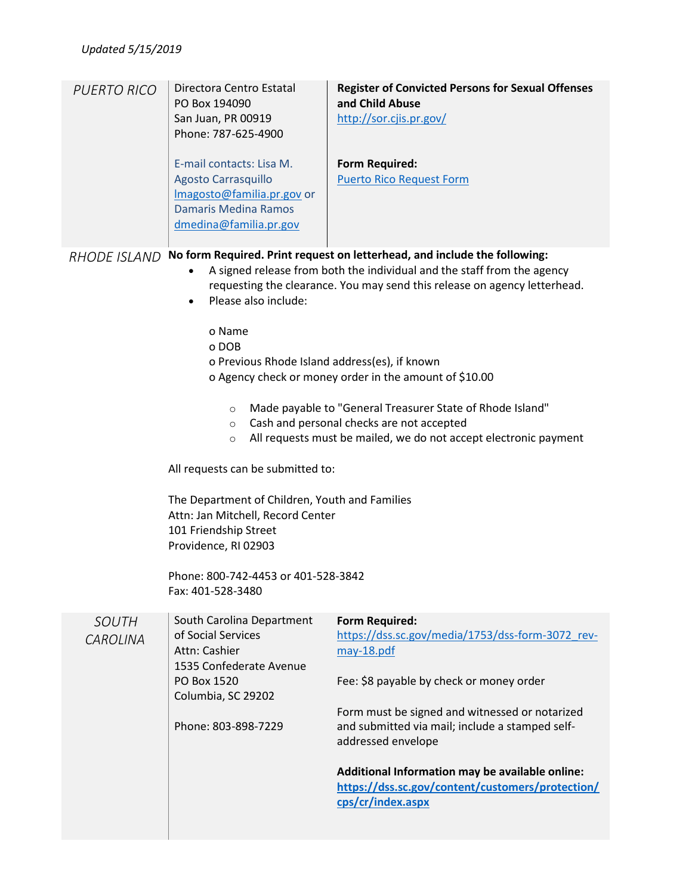| <b>PUERTO RICO</b>       | Directora Centro Estatal<br>PO Box 194090<br>San Juan, PR 00919<br>Phone: 787-625-4900<br>E-mail contacts: Lisa M.<br><b>Agosto Carrasquillo</b><br>Imagosto@familia.pr.gov or<br><b>Damaris Medina Ramos</b><br>dmedina@familia.pr.gov                                                                                                                                         | <b>Register of Convicted Persons for Sexual Offenses</b><br>and Child Abuse<br>http://sor.cjis.pr.gov/<br><b>Form Required:</b><br><b>Puerto Rico Request Form</b>                                                                                                                                                                                                                                                                                                        |
|--------------------------|---------------------------------------------------------------------------------------------------------------------------------------------------------------------------------------------------------------------------------------------------------------------------------------------------------------------------------------------------------------------------------|---------------------------------------------------------------------------------------------------------------------------------------------------------------------------------------------------------------------------------------------------------------------------------------------------------------------------------------------------------------------------------------------------------------------------------------------------------------------------|
| <b>RHODE ISLAND</b>      | Please also include:<br>$\bullet$<br>o Name<br>o DOB<br>o Previous Rhode Island address(es), if known<br>$\circ$<br>$\circ$<br>$\circ$<br>All requests can be submitted to:<br>The Department of Children, Youth and Families<br>Attn: Jan Mitchell, Record Center<br>101 Friendship Street<br>Providence, RI 02903<br>Phone: 800-742-4453 or 401-528-3842<br>Fax: 401-528-3480 | No form Required. Print request on letterhead, and include the following:<br>A signed release from both the individual and the staff from the agency<br>requesting the clearance. You may send this release on agency letterhead.<br>o Agency check or money order in the amount of \$10.00<br>Made payable to "General Treasurer State of Rhode Island"<br>Cash and personal checks are not accepted<br>All requests must be mailed, we do not accept electronic payment |
| <b>SOUTH</b><br>CAROLINA | South Carolina Department<br>of Social Services<br>Attn: Cashier<br>1535 Confederate Avenue<br>PO Box 1520<br>Columbia, SC 29202<br>Phone: 803-898-7229                                                                                                                                                                                                                         | <b>Form Required:</b><br>https://dss.sc.gov/media/1753/dss-form-3072 rev-<br>may-18.pdf<br>Fee: \$8 payable by check or money order<br>Form must be signed and witnessed or notarized<br>and submitted via mail; include a stamped self-<br>addressed envelope<br>Additional Information may be available online:<br>https://dss.sc.gov/content/customers/protection/<br>cps/cr/index.aspx                                                                                |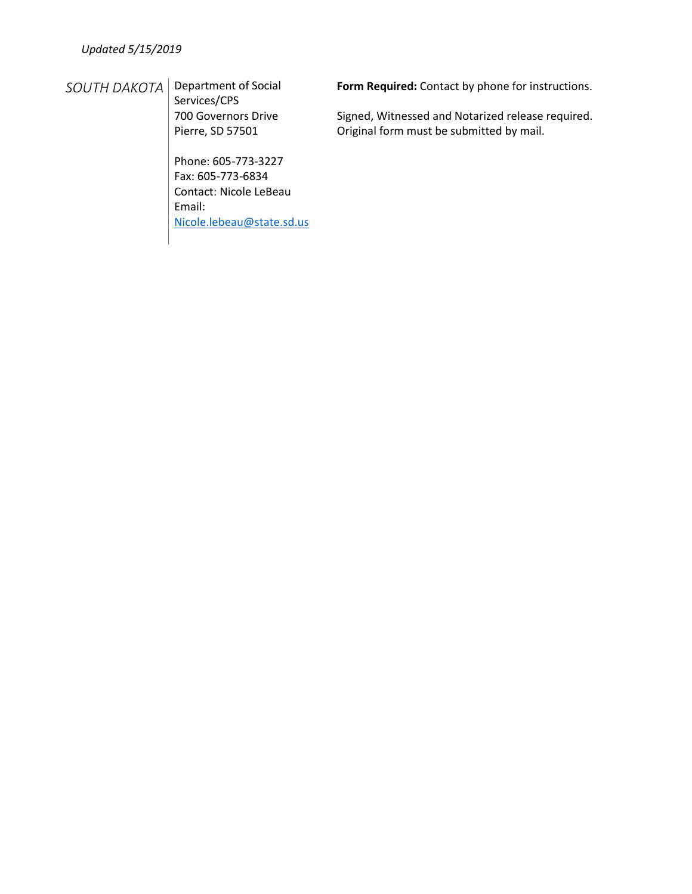## *SOUTH DAKOTA* Department of Social

Services/CPS 700 Governors Drive Pierre, SD 57501

Phone: 605-773-3227 Fax: 605-773-6834 Contact: Nicole LeBeau Email: [Nicole.lebeau@state.sd.us](mailto:Nicole.lebeau@state.sd.us) **Form Required:** Contact by phone for instructions.

Signed, Witnessed and Notarized release required. Original form must be submitted by mail.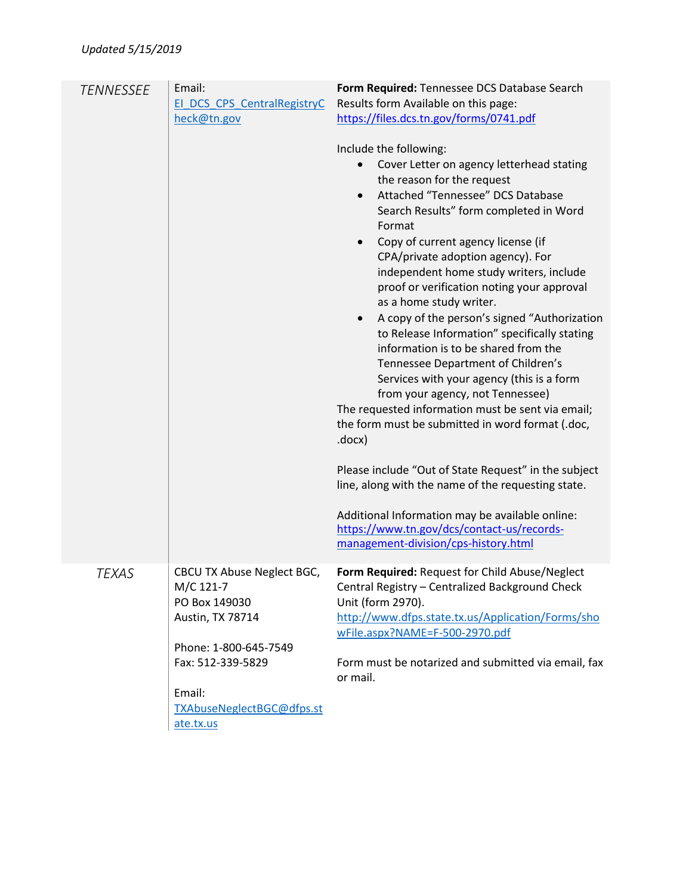| <b>TENNESSEE</b> | Email:<br>El DCS CPS CentralRegistryC<br>heck@tn.gov                                                                                                                           | Form Required: Tennessee DCS Database Search<br>Results form Available on this page:<br>https://files.dcs.tn.gov/forms/0741.pdf<br>Include the following:<br>Cover Letter on agency letterhead stating<br>the reason for the request<br>Attached "Tennessee" DCS Database<br>$\bullet$<br>Search Results" form completed in Word<br>Format<br>Copy of current agency license (if<br>CPA/private adoption agency). For<br>independent home study writers, include<br>proof or verification noting your approval<br>as a home study writer.<br>A copy of the person's signed "Authorization<br>$\bullet$<br>to Release Information" specifically stating<br>information is to be shared from the<br>Tennessee Department of Children's<br>Services with your agency (this is a form<br>from your agency, not Tennessee)<br>The requested information must be sent via email;<br>the form must be submitted in word format (.doc,<br>.docx)<br>Please include "Out of State Request" in the subject<br>line, along with the name of the requesting state.<br>Additional Information may be available online:<br>https://www.tn.gov/dcs/contact-us/records-<br>management-division/cps-history.html |
|------------------|--------------------------------------------------------------------------------------------------------------------------------------------------------------------------------|-------------------------------------------------------------------------------------------------------------------------------------------------------------------------------------------------------------------------------------------------------------------------------------------------------------------------------------------------------------------------------------------------------------------------------------------------------------------------------------------------------------------------------------------------------------------------------------------------------------------------------------------------------------------------------------------------------------------------------------------------------------------------------------------------------------------------------------------------------------------------------------------------------------------------------------------------------------------------------------------------------------------------------------------------------------------------------------------------------------------------------------------------------------------------------------------------|
| TEXAS            | CBCU TX Abuse Neglect BGC,<br>M/C 121-7<br>PO Box 149030<br>Austin, TX 78714<br>Phone: 1-800-645-7549<br>Fax: 512-339-5829<br>Email:<br>TXAbuseNeglectBGC@dfps.st<br>ate.tx.us | Form Required: Request for Child Abuse/Neglect<br>Central Registry – Centralized Background Check<br>Unit (form 2970).<br>http://www.dfps.state.tx.us/Application/Forms/sho<br>wFile.aspx?NAME=F-500-2970.pdf<br>Form must be notarized and submitted via email, fax<br>or mail.                                                                                                                                                                                                                                                                                                                                                                                                                                                                                                                                                                                                                                                                                                                                                                                                                                                                                                                |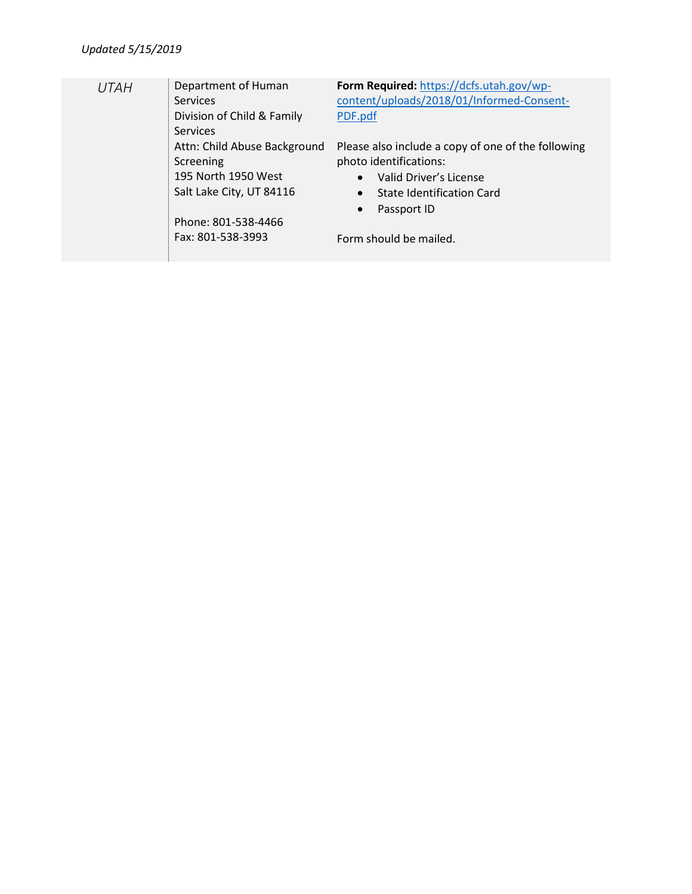| <b>UTAH</b> | Department of Human          | Form Required: https://dcfs.utah.gov/wp-           |
|-------------|------------------------------|----------------------------------------------------|
|             | <b>Services</b>              | content/uploads/2018/01/Informed-Consent-          |
|             | Division of Child & Family   | PDF.pdf                                            |
|             | <b>Services</b>              |                                                    |
|             | Attn: Child Abuse Background | Please also include a copy of one of the following |
|             | Screening                    | photo identifications:                             |
|             | 195 North 1950 West          | Valid Driver's License<br>$\bullet$                |
|             | Salt Lake City, UT 84116     | State Identification Card<br>$\bullet$             |
|             |                              | Passport ID<br>$\bullet$                           |
|             | Phone: 801-538-4466          |                                                    |
|             | Fax: 801-538-3993            | Form should be mailed.                             |
|             |                              |                                                    |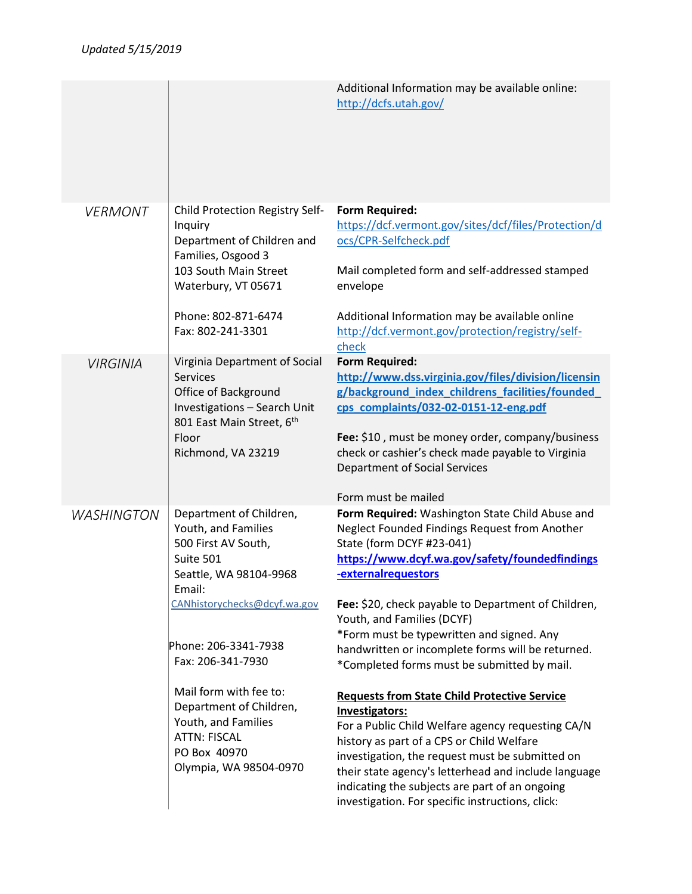|                   |                                                                                                                                                                                                                                                          | Additional Information may be available online:<br>http://dcfs.utah.gov/                                                                                                                                                                                                                                                                                                                                                                                                                                              |
|-------------------|----------------------------------------------------------------------------------------------------------------------------------------------------------------------------------------------------------------------------------------------------------|-----------------------------------------------------------------------------------------------------------------------------------------------------------------------------------------------------------------------------------------------------------------------------------------------------------------------------------------------------------------------------------------------------------------------------------------------------------------------------------------------------------------------|
| <b>VERMONT</b>    | Child Protection Registry Self-<br>Inquiry<br>Department of Children and<br>Families, Osgood 3<br>103 South Main Street<br>Waterbury, VT 05671<br>Phone: 802-871-6474<br>Fax: 802-241-3301                                                               | <b>Form Required:</b><br>https://dcf.vermont.gov/sites/dcf/files/Protection/d<br>ocs/CPR-Selfcheck.pdf<br>Mail completed form and self-addressed stamped<br>envelope<br>Additional Information may be available online<br>http://dcf.vermont.gov/protection/registry/self-                                                                                                                                                                                                                                            |
|                   |                                                                                                                                                                                                                                                          | check                                                                                                                                                                                                                                                                                                                                                                                                                                                                                                                 |
| <b>VIRGINIA</b>   | Virginia Department of Social<br><b>Services</b><br>Office of Background<br>Investigations - Search Unit<br>801 East Main Street, 6th<br>Floor<br>Richmond, VA 23219                                                                                     | <b>Form Required:</b><br>http://www.dss.virginia.gov/files/division/licensin<br>g/background_index_childrens_facilities/founded<br>cps complaints/032-02-0151-12-eng.pdf<br>Fee: \$10, must be money order, company/business<br>check or cashier's check made payable to Virginia<br>Department of Social Services<br>Form must be mailed                                                                                                                                                                             |
| <b>WASHINGTON</b> | Department of Children,<br>Youth, and Families<br>500 First AV South,<br>Suite 501<br>Seattle, WA 98104-9968<br>Email:<br>CANhistorychecks@dcyf.wa.gov<br>Phone: 206-3341-7938<br>Fax: 206-341-7930<br>Mail form with fee to:<br>Department of Children, | Form Required: Washington State Child Abuse and<br>Neglect Founded Findings Request from Another<br>State (form DCYF #23-041)<br>https://www.dcyf.wa.gov/safety/foundedfindings<br>-externalrequestors<br>Fee: \$20, check payable to Department of Children,<br>Youth, and Families (DCYF)<br>*Form must be typewritten and signed. Any<br>handwritten or incomplete forms will be returned.<br>*Completed forms must be submitted by mail.<br><b>Requests from State Child Protective Service</b><br>Investigators: |
|                   | Youth, and Families<br><b>ATTN: FISCAL</b><br>PO Box 40970<br>Olympia, WA 98504-0970                                                                                                                                                                     | For a Public Child Welfare agency requesting CA/N<br>history as part of a CPS or Child Welfare<br>investigation, the request must be submitted on<br>their state agency's letterhead and include language<br>indicating the subjects are part of an ongoing<br>investigation. For specific instructions, click:                                                                                                                                                                                                       |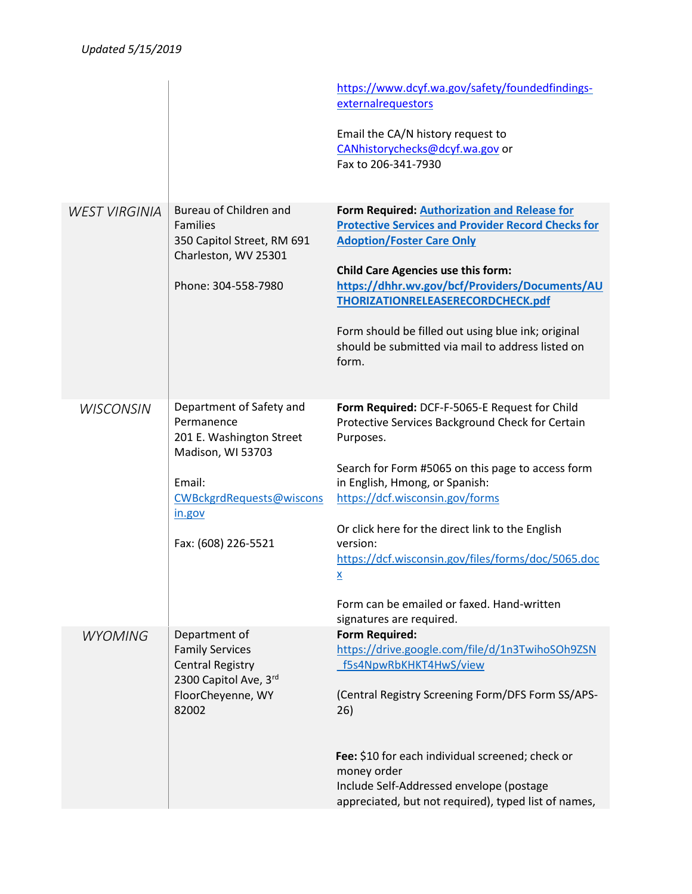|                      |                                                                                                                                                                | https://www.dcyf.wa.gov/safety/foundedfindings-<br>externalrequestors<br>Email the CA/N history request to<br>CANhistorychecks@dcyf.wa.gov or<br>Fax to 206-341-7930                                                                                                                                                                                                                                                                                        |
|----------------------|----------------------------------------------------------------------------------------------------------------------------------------------------------------|-------------------------------------------------------------------------------------------------------------------------------------------------------------------------------------------------------------------------------------------------------------------------------------------------------------------------------------------------------------------------------------------------------------------------------------------------------------|
| <b>WEST VIRGINIA</b> | Bureau of Children and<br><b>Families</b><br>350 Capitol Street, RM 691<br>Charleston, WV 25301<br>Phone: 304-558-7980                                         | Form Required: Authorization and Release for<br><b>Protective Services and Provider Record Checks for</b><br><b>Adoption/Foster Care Only</b><br><b>Child Care Agencies use this form:</b><br>https://dhhr.wv.gov/bcf/Providers/Documents/AU<br>THORIZATIONRELEASERECORDCHECK.pdf<br>Form should be filled out using blue ink; original<br>should be submitted via mail to address listed on<br>form.                                                       |
| <b>WISCONSIN</b>     | Department of Safety and<br>Permanence<br>201 E. Washington Street<br>Madison, WI 53703<br>Email:<br>CWBckgrdRequests@wiscons<br>in.gov<br>Fax: (608) 226-5521 | Form Required: DCF-F-5065-E Request for Child<br>Protective Services Background Check for Certain<br>Purposes.<br>Search for Form #5065 on this page to access form<br>in English, Hmong, or Spanish:<br>https://dcf.wisconsin.gov/forms<br>Or click here for the direct link to the English<br>version:<br>https://dcf.wisconsin.gov/files/forms/doc/5065.doc<br>$\underline{x}$<br>Form can be emailed or faxed. Hand-written<br>signatures are required. |
| <b>WYOMING</b>       | Department of<br><b>Family Services</b><br><b>Central Registry</b><br>2300 Capitol Ave, 3rd<br>FloorCheyenne, WY<br>82002                                      | <b>Form Required:</b><br>https://drive.google.com/file/d/1n3TwihoSOh9ZSN<br>f5s4NpwRbKHKT4HwS/view<br>(Central Registry Screening Form/DFS Form SS/APS-<br>26)<br>Fee: \$10 for each individual screened; check or<br>money order<br>Include Self-Addressed envelope (postage<br>appreciated, but not required), typed list of names,                                                                                                                       |